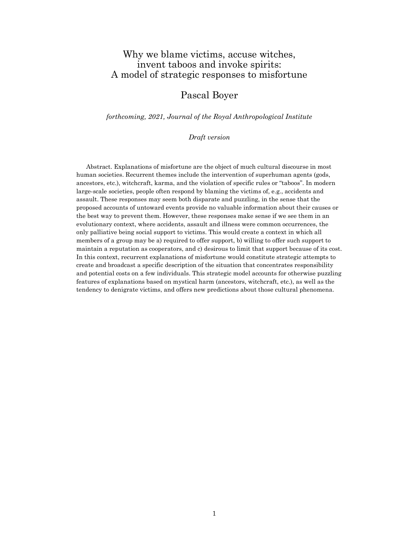# Why we blame victims, accuse witches, invent taboos and invoke spirits: A model of strategic responses to misfortune

# Pascal Boyer

forthcoming, 2021, Journal of the Royal Anthropological Institute

Draft version

Abstract. Explanations of misfortune are the object of much cultural discourse in most human societies. Recurrent themes include the intervention of superhuman agents (gods, ancestors, etc.), witchcraft, karma, and the violation of specific rules or "taboos". In modern large-scale societies, people often respond by blaming the victims of, e.g., accidents and assault. These responses may seem both disparate and puzzling, in the sense that the proposed accounts of untoward events provide no valuable information about their causes or the best way to prevent them. However, these responses make sense if we see them in an evolutionary context, where accidents, assault and illness were common occurrences, the only palliative being social support to victims. This would create a context in which all members of a group may be a) required to offer support, b) willing to offer such support to maintain a reputation as cooperators, and c) desirous to limit that support because of its cost. In this context, recurrent explanations of misfortune would constitute strategic attempts to create and broadcast a specific description of the situation that concentrates responsibility and potential costs on a few individuals. This strategic model accounts for otherwise puzzling features of explanations based on mystical harm (ancestors, witchcraft, etc.), as well as the tendency to denigrate victims, and offers new predictions about those cultural phenomena.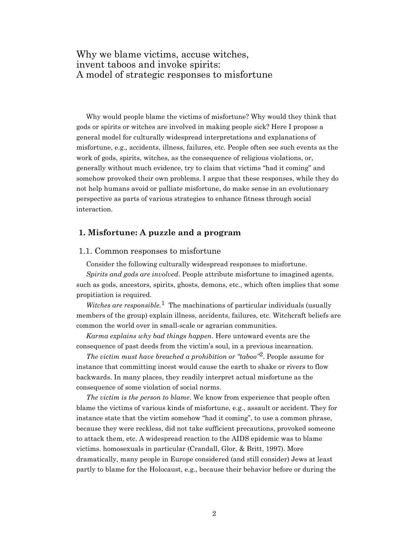# Why we blame victims, accuse witches, invent taboos and invoke spirits: A model of strategic responses to misfortune

Why would people blame the victims of misfortune? Why would they think that gods or spirits or witches are involved in making people sick? Here I propose a general model for culturally widespread interpretations and explanations of misfortune, e.g., accidents, illness, failures, etc. People often see such events as the work of gods, spirits, witches, as the consequence of religious violations, or, generally without much evidence, try to claim that victims "had it coming" and somehow provoked their own problems. I argue that these responses, while they do not help humans avoid or palliate misfortune, do make sense in an evolutionary perspective as parts of various strategies to enhance fitness through social interaction.

# 1. Misfortune: A puzzle and a program

# 1.1. Common responses to misfortune

Consider the following culturally widespread responses to misfortune.

Spirits and gods are involved. People attribute misfortune to imagined agents, such as gods, ancestors, spirits, ghosts, demons, etc., which often implies that some propitiation is required.

Witches are responsible.<sup>1</sup> The machinations of particular individuals (usually members of the group) explain illness, accidents, failures, etc. Witchcraft beliefs are common the world over in small-scale or agrarian communities.

Karma explains why bad things happen. Here untoward events are the consequence of past deeds from the victim's soul, in a previous incarnation.

The victim must have breached a prohibition or "taboo"<sup>2</sup>. People assume for instance that committing incest would cause the earth to shake or rivers to flow backwards. In many places, they readily interpret actual misfortune as the consequence of some violation of social norms.

The victim is the person to blame. We know from experience that people often blame the victims of various kinds of misfortune, e.g., assault or accident. They for instance state that the victim somehow "had it coming", to use a common phrase, because they were reckless, did not take sufficient precautions, provoked someone to attack them, etc. A widespread reaction to the AIDS epidemic was to blame victims. homosexuals in particular (Crandall, Glor, & Britt, 1997). More dramatically, many people in Europe considered (and still consider) Jews at least partly to blame for the Holocaust, e.g., because their behavior before or during the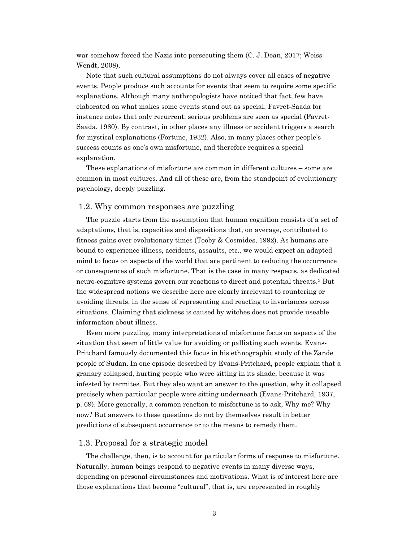war somehow forced the Nazis into persecuting them  $(C, J, Dean, 2017; Weiss-$ Wendt, 2008).

Note that such cultural assumptions do not always cover all cases of negative events. People produce such accounts for events that seem to require some specific explanations. Although many anthropologists have noticed that fact, few have elaborated on what makes some events stand out as special. Favret-Saada for instance notes that only recurrent, serious problems are seen as special (Favret-Saada, 1980). By contrast, in other places any illness or accident triggers a search for mystical explanations (Fortune, 1932). Also, in many places other people's success counts as one's own misfortune, and therefore requires a special explanation.

These explanations of misfortune are common in different cultures – some are common in most cultures. And all of these are, from the standpoint of evolutionary psychology, deeply puzzling.

# 1.2. Why common responses are puzzling

The puzzle starts from the assumption that human cognition consists of a set of adaptations, that is, capacities and dispositions that, on average, contributed to fitness gains over evolutionary times (Tooby & Cosmides, 1992). As humans are bound to experience illness, accidents, assaults, etc., we would expect an adapted mind to focus on aspects of the world that are pertinent to reducing the occurrence or consequences of such misfortune. That is the case in many respects, as dedicated neuro-cognitive systems govern our reactions to direct and potential threats.3 But the widespread notions we describe here are clearly irrelevant to countering or avoiding threats, in the sense of representing and reacting to invariances across situations. Claiming that sickness is caused by witches does not provide useable information about illness.

Even more puzzling, many interpretations of misfortune focus on aspects of the situation that seem of little value for avoiding or palliating such events. Evans-Pritchard famously documented this focus in his ethnographic study of the Zande people of Sudan. In one episode described by Evans-Pritchard, people explain that a granary collapsed, hurting people who were sitting in its shade, because it was infested by termites. But they also want an answer to the question, why it collapsed precisely when particular people were sitting underneath (Evans-Pritchard, 1937, p. 69). More generally, a common reaction to misfortune is to ask, Why me? Why now? But answers to these questions do not by themselves result in better predictions of subsequent occurrence or to the means to remedy them.

### 1.3. Proposal for a strategic model

The challenge, then, is to account for particular forms of response to misfortune. Naturally, human beings respond to negative events in many diverse ways, depending on personal circumstances and motivations. What is of interest here are those explanations that become "cultural", that is, are represented in roughly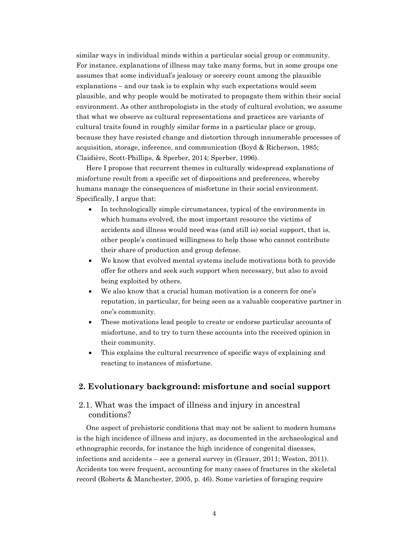similar ways in individual minds within a particular social group or community. For instance, explanations of illness may take many forms, but in some groups one assumes that some individual's jealousy or sorcery count among the plausible explanations – and our task is to explain why such expectations would seem plausible, and why people would be motivated to propagate them within their social environment. As other anthropologists in the study of cultural evolution, we assume that what we observe as cultural representations and practices are variants of cultural traits found in roughly similar forms in a particular place or group, because they have resisted change and distortion through innumerable processes of acquisition, storage, inference, and communication (Boyd & Richerson, 1985; Claidière, Scott-Phillips, & Sperber, 2014; Sperber, 1996).

Here I propose that recurrent themes in culturally widespread explanations of misfortune result from a specific set of dispositions and preferences, whereby humans manage the consequences of misfortune in their social environment. Specifically, I argue that:

- In technologically simple circumstances, typical of the environments in which humans evolved, the most important resource the victims of accidents and illness would need was (and still is) social support, that is, other people's continued willingness to help those who cannot contribute their share of production and group defense.
- We know that evolved mental systems include motivations both to provide offer for others and seek such support when necessary, but also to avoid being exploited by others.
- We also know that a crucial human motivation is a concern for one's reputation, in particular, for being seen as a valuable cooperative partner in one's community.
- These motivations lead people to create or endorse particular accounts of misfortune, and to try to turn these accounts into the received opinion in their community.
- This explains the cultural recurrence of specific ways of explaining and reacting to instances of misfortune.

# 2. Evolutionary background: misfortune and social support

# 2.1. What was the impact of illness and injury in ancestral conditions?

One aspect of prehistoric conditions that may not be salient to modern humans is the high incidence of illness and injury, as documented in the archaeological and ethnographic records, for instance the high incidence of congenital diseases, infections and accidents – see a general survey in (Grauer, 2011; Weston, 2011). Accidents too were frequent, accounting for many cases of fractures in the skeletal record (Roberts & Manchester, 2005, p. 46). Some varieties of foraging require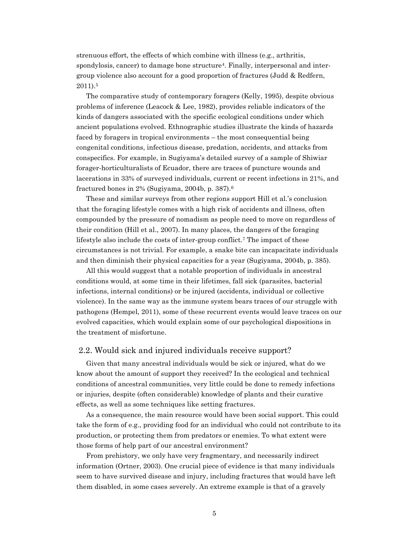strenuous effort, the effects of which combine with illness (e.g., arthritis, spondylosis, cancer) to damage bone structure4. Finally, interpersonal and intergroup violence also account for a good proportion of fractures (Judd & Redfern, 2011).<sup>5</sup>

The comparative study of contemporary foragers (Kelly, 1995), despite obvious problems of inference (Leacock & Lee, 1982), provides reliable indicators of the kinds of dangers associated with the specific ecological conditions under which ancient populations evolved. Ethnographic studies illustrate the kinds of hazards faced by foragers in tropical environments – the most consequential being congenital conditions, infectious disease, predation, accidents, and attacks from conspecifics. For example, in Sugiyama's detailed survey of a sample of Shiwiar forager-horticulturalists of Ecuador, there are traces of puncture wounds and lacerations in 33% of surveyed individuals, current or recent infections in 21%, and fractured bones in 2% (Sugiyama, 2004b, p. 387).<sup>6</sup>

These and similar surveys from other regions support Hill et al.'s conclusion that the foraging lifestyle comes with a high risk of accidents and illness, often compounded by the pressure of nomadism as people need to move on regardless of their condition (Hill et al., 2007). In many places, the dangers of the foraging lifestyle also include the costs of inter-group conflict.7 The impact of these circumstances is not trivial. For example, a snake bite can incapacitate individuals and then diminish their physical capacities for a year (Sugiyama, 2004b, p. 385).

All this would suggest that a notable proportion of individuals in ancestral conditions would, at some time in their lifetimes, fall sick (parasites, bacterial infections, internal conditions) or be injured (accidents, individual or collective violence). In the same way as the immune system bears traces of our struggle with pathogens (Hempel, 2011), some of these recurrent events would leave traces on our evolved capacities, which would explain some of our psychological dispositions in the treatment of misfortune.

### 2.2. Would sick and injured individuals receive support?

Given that many ancestral individuals would be sick or injured, what do we know about the amount of support they received? In the ecological and technical conditions of ancestral communities, very little could be done to remedy infections or injuries, despite (often considerable) knowledge of plants and their curative effects, as well as some techniques like setting fractures.

As a consequence, the main resource would have been social support. This could take the form of e.g., providing food for an individual who could not contribute to its production, or protecting them from predators or enemies. To what extent were those forms of help part of our ancestral environment?

From prehistory, we only have very fragmentary, and necessarily indirect information (Ortner, 2003). One crucial piece of evidence is that many individuals seem to have survived disease and injury, including fractures that would have left them disabled, in some cases severely. An extreme example is that of a gravely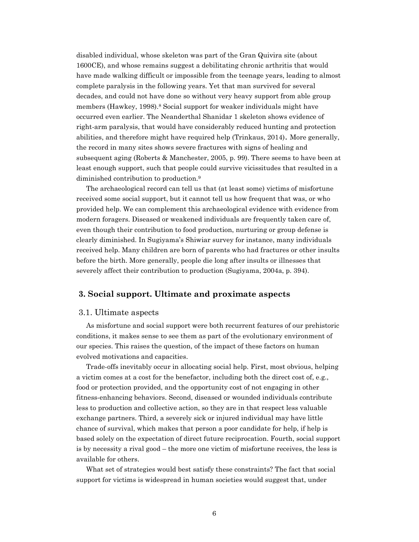disabled individual, whose skeleton was part of the Gran Quivira site (about 1600CE), and whose remains suggest a debilitating chronic arthritis that would have made walking difficult or impossible from the teenage years, leading to almost complete paralysis in the following years. Yet that man survived for several decades, and could not have done so without very heavy support from able group members (Hawkey, 1998).<sup>8</sup> Social support for weaker individuals might have occurred even earlier. The Neanderthal Shanidar 1 skeleton shows evidence of right-arm paralysis, that would have considerably reduced hunting and protection abilities, and therefore might have required help (Trinkaus, 2014). More generally, the record in many sites shows severe fractures with signs of healing and subsequent aging (Roberts & Manchester, 2005, p. 99). There seems to have been at least enough support, such that people could survive vicissitudes that resulted in a diminished contribution to production.<sup>9</sup>

The archaeological record can tell us that (at least some) victims of misfortune received some social support, but it cannot tell us how frequent that was, or who provided help. We can complement this archaeological evidence with evidence from modern foragers. Diseased or weakened individuals are frequently taken care of, even though their contribution to food production, nurturing or group defense is clearly diminished. In Sugiyama's Shiwiar survey for instance, many individuals received help. Many children are born of parents who had fractures or other insults before the birth. More generally, people die long after insults or illnesses that severely affect their contribution to production (Sugiyama, 2004a, p. 394).

# 3. Social support. Ultimate and proximate aspects

#### 3.1. Ultimate aspects

As misfortune and social support were both recurrent features of our prehistoric conditions, it makes sense to see them as part of the evolutionary environment of our species. This raises the question, of the impact of these factors on human evolved motivations and capacities.

Trade-offs inevitably occur in allocating social help. First, most obvious, helping a victim comes at a cost for the benefactor, including both the direct cost of, e.g., food or protection provided, and the opportunity cost of not engaging in other fitness-enhancing behaviors. Second, diseased or wounded individuals contribute less to production and collective action, so they are in that respect less valuable exchange partners. Third, a severely sick or injured individual may have little chance of survival, which makes that person a poor candidate for help, if help is based solely on the expectation of direct future reciprocation. Fourth, social support is by necessity a rival good – the more one victim of misfortune receives, the less is available for others.

What set of strategies would best satisfy these constraints? The fact that social support for victims is widespread in human societies would suggest that, under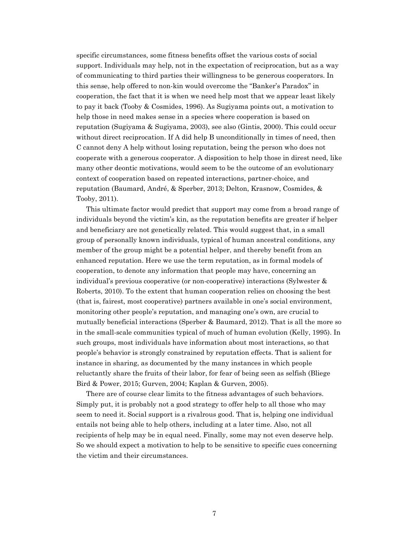specific circumstances, some fitness benefits offset the various costs of social support. Individuals may help, not in the expectation of reciprocation, but as a way of communicating to third parties their willingness to be generous cooperators. In this sense, help offered to non-kin would overcome the "Banker's Paradox" in cooperation, the fact that it is when we need help most that we appear least likely to pay it back (Tooby & Cosmides, 1996). As Sugiyama points out, a motivation to help those in need makes sense in a species where cooperation is based on reputation (Sugiyama & Sugiyama, 2003), see also (Gintis, 2000). This could occur without direct reciprocation. If A did help B unconditionally in times of need, then C cannot deny A help without losing reputation, being the person who does not cooperate with a generous cooperator. A disposition to help those in direst need, like many other deontic motivations, would seem to be the outcome of an evolutionary context of cooperation based on repeated interactions, partner-choice, and reputation (Baumard, André, & Sperber, 2013; Delton, Krasnow, Cosmides, & Tooby, 2011).

This ultimate factor would predict that support may come from a broad range of individuals beyond the victim's kin, as the reputation benefits are greater if helper and beneficiary are not genetically related. This would suggest that, in a small group of personally known individuals, typical of human ancestral conditions, any member of the group might be a potential helper, and thereby benefit from an enhanced reputation. Here we use the term reputation, as in formal models of cooperation, to denote any information that people may have, concerning an individual's previous cooperative (or non-cooperative) interactions (Sylwester & Roberts, 2010). To the extent that human cooperation relies on choosing the best (that is, fairest, most cooperative) partners available in one's social environment, monitoring other people's reputation, and managing one's own, are crucial to mutually beneficial interactions (Sperber & Baumard, 2012). That is all the more so in the small-scale communities typical of much of human evolution (Kelly, 1995). In such groups, most individuals have information about most interactions, so that people's behavior is strongly constrained by reputation effects. That is salient for instance in sharing, as documented by the many instances in which people reluctantly share the fruits of their labor, for fear of being seen as selfish (Bliege Bird & Power, 2015; Gurven, 2004; Kaplan & Gurven, 2005).

There are of course clear limits to the fitness advantages of such behaviors. Simply put, it is probably not a good strategy to offer help to all those who may seem to need it. Social support is a rivalrous good. That is, helping one individual entails not being able to help others, including at a later time. Also, not all recipients of help may be in equal need. Finally, some may not even deserve help. So we should expect a motivation to help to be sensitive to specific cues concerning the victim and their circumstances.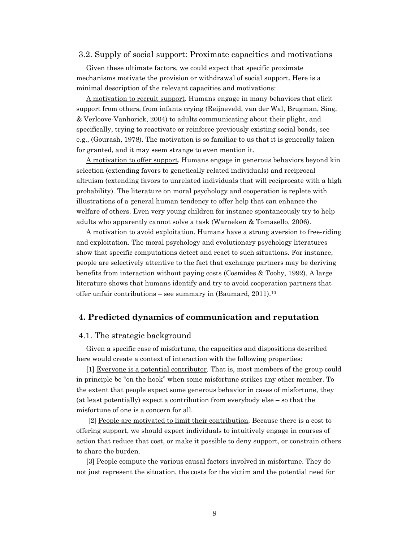### 3.2. Supply of social support: Proximate capacities and motivations

Given these ultimate factors, we could expect that specific proximate mechanisms motivate the provision or withdrawal of social support. Here is a minimal description of the relevant capacities and motivations:

A motivation to recruit support. Humans engage in many behaviors that elicit support from others, from infants crying (Reijneveld, van der Wal, Brugman, Sing, & Verloove-Vanhorick, 2004) to adults communicating about their plight, and specifically, trying to reactivate or reinforce previously existing social bonds, see e.g., (Gourash, 1978). The motivation is so familiar to us that it is generally taken for granted, and it may seem strange to even mention it.

A motivation to offer support. Humans engage in generous behaviors beyond kin selection (extending favors to genetically related individuals) and reciprocal altruism (extending favors to unrelated individuals that will reciprocate with a high probability). The literature on moral psychology and cooperation is replete with illustrations of a general human tendency to offer help that can enhance the welfare of others. Even very young children for instance spontaneously try to help adults who apparently cannot solve a task (Warneken & Tomasello, 2006).

A motivation to avoid exploitation. Humans have a strong aversion to free-riding and exploitation. The moral psychology and evolutionary psychology literatures show that specific computations detect and react to such situations. For instance, people are selectively attentive to the fact that exchange partners may be deriving benefits from interaction without paying costs (Cosmides & Tooby, 1992). A large literature shows that humans identify and try to avoid cooperation partners that offer unfair contributions – see summary in (Baumard, 2011).<sup>10</sup>

# 4. Predicted dynamics of communication and reputation

### 4.1. The strategic background

Given a specific case of misfortune, the capacities and dispositions described here would create a context of interaction with the following properties:

[1] Everyone is a potential contributor. That is, most members of the group could in principle be "on the hook" when some misfortune strikes any other member. To the extent that people expect some generous behavior in cases of misfortune, they (at least potentially) expect a contribution from everybody else – so that the misfortune of one is a concern for all.

 [2] People are motivated to limit their contribution. Because there is a cost to offering support, we should expect individuals to intuitively engage in courses of action that reduce that cost, or make it possible to deny support, or constrain others to share the burden.

[3] People compute the various causal factors involved in misfortune. They do not just represent the situation, the costs for the victim and the potential need for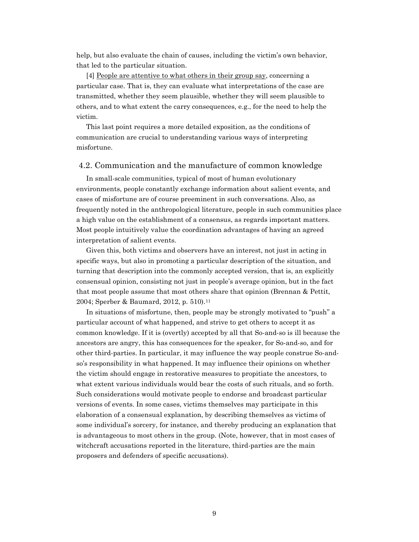help, but also evaluate the chain of causes, including the victim's own behavior, that led to the particular situation.

[4] People are attentive to what others in their group say, concerning a particular case. That is, they can evaluate what interpretations of the case are transmitted, whether they seem plausible, whether they will seem plausible to others, and to what extent the carry consequences, e.g., for the need to help the victim.

This last point requires a more detailed exposition, as the conditions of communication are crucial to understanding various ways of interpreting misfortune.

# 4.2. Communication and the manufacture of common knowledge

In small-scale communities, typical of most of human evolutionary environments, people constantly exchange information about salient events, and cases of misfortune are of course preeminent in such conversations. Also, as frequently noted in the anthropological literature, people in such communities place a high value on the establishment of a consensus, as regards important matters. Most people intuitively value the coordination advantages of having an agreed interpretation of salient events.

Given this, both victims and observers have an interest, not just in acting in specific ways, but also in promoting a particular description of the situation, and turning that description into the commonly accepted version, that is, an explicitly consensual opinion, consisting not just in people's average opinion, but in the fact that most people assume that most others share that opinion (Brennan & Pettit, 2004; Sperber & Baumard, 2012, p. 510).<sup>11</sup>

In situations of misfortune, then, people may be strongly motivated to "push" a particular account of what happened, and strive to get others to accept it as common knowledge. If it is (overtly) accepted by all that So-and-so is ill because the ancestors are angry, this has consequences for the speaker, for So-and-so, and for other third-parties. In particular, it may influence the way people construe So-andso's responsibility in what happened. It may influence their opinions on whether the victim should engage in restorative measures to propitiate the ancestors, to what extent various individuals would bear the costs of such rituals, and so forth. Such considerations would motivate people to endorse and broadcast particular versions of events. In some cases, victims themselves may participate in this elaboration of a consensual explanation, by describing themselves as victims of some individual's sorcery, for instance, and thereby producing an explanation that is advantageous to most others in the group. (Note, however, that in most cases of witchcraft accusations reported in the literature, third-parties are the main proposers and defenders of specific accusations).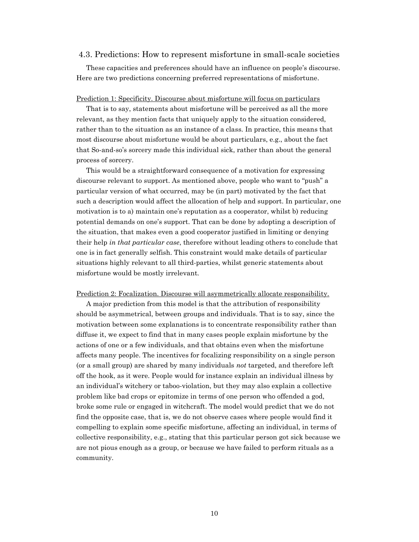### 4.3. Predictions: How to represent misfortune in small-scale societies

These capacities and preferences should have an influence on people's discourse. Here are two predictions concerning preferred representations of misfortune.

#### Prediction 1: Specificity. Discourse about misfortune will focus on particulars

That is to say, statements about misfortune will be perceived as all the more relevant, as they mention facts that uniquely apply to the situation considered, rather than to the situation as an instance of a class. In practice, this means that most discourse about misfortune would be about particulars, e.g., about the fact that So-and-so's sorcery made this individual sick, rather than about the general process of sorcery.

This would be a straightforward consequence of a motivation for expressing discourse relevant to support. As mentioned above, people who want to "push" a particular version of what occurred, may be (in part) motivated by the fact that such a description would affect the allocation of help and support. In particular, one motivation is to a) maintain one's reputation as a cooperator, whilst b) reducing potential demands on one's support. That can be done by adopting a description of the situation, that makes even a good cooperator justified in limiting or denying their help in that particular case, therefore without leading others to conclude that one is in fact generally selfish. This constraint would make details of particular situations highly relevant to all third-parties, whilst generic statements about misfortune would be mostly irrelevant.

#### Prediction 2: Focalization. Discourse will asymmetrically allocate responsibility.

A major prediction from this model is that the attribution of responsibility should be asymmetrical, between groups and individuals. That is to say, since the motivation between some explanations is to concentrate responsibility rather than diffuse it, we expect to find that in many cases people explain misfortune by the actions of one or a few individuals, and that obtains even when the misfortune affects many people. The incentives for focalizing responsibility on a single person (or a small group) are shared by many individuals not targeted, and therefore left off the hook, as it were. People would for instance explain an individual illness by an individual's witchery or taboo-violation, but they may also explain a collective problem like bad crops or epitomize in terms of one person who offended a god, broke some rule or engaged in witchcraft. The model would predict that we do not find the opposite case, that is, we do not observe cases where people would find it compelling to explain some specific misfortune, affecting an individual, in terms of collective responsibility, e.g., stating that this particular person got sick because we are not pious enough as a group, or because we have failed to perform rituals as a community.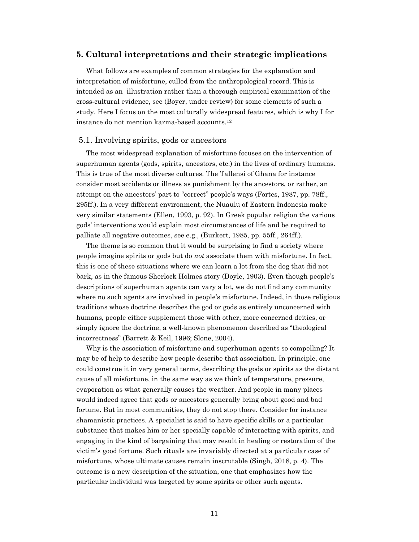## 5. Cultural interpretations and their strategic implications

What follows are examples of common strategies for the explanation and interpretation of misfortune, culled from the anthropological record. This is intended as an illustration rather than a thorough empirical examination of the cross-cultural evidence, see (Boyer, under review) for some elements of such a study. Here I focus on the most culturally widespread features, which is why I for instance do not mention karma-based accounts.<sup>12</sup>

## 5.1. Involving spirits, gods or ancestors

The most widespread explanation of misfortune focuses on the intervention of superhuman agents (gods, spirits, ancestors, etc.) in the lives of ordinary humans. This is true of the most diverse cultures. The Tallensi of Ghana for instance consider most accidents or illness as punishment by the ancestors, or rather, an attempt on the ancestors' part to "correct" people's ways (Fortes, 1987, pp. 78ff., 295ff.). In a very different environment, the Nuaulu of Eastern Indonesia make very similar statements (Ellen, 1993, p. 92). In Greek popular religion the various gods' interventions would explain most circumstances of life and be required to palliate all negative outcomes, see e.g., (Burkert, 1985, pp. 55ff., 264ff.).

The theme is so common that it would be surprising to find a society where people imagine spirits or gods but do not associate them with misfortune. In fact, this is one of these situations where we can learn a lot from the dog that did not bark, as in the famous Sherlock Holmes story (Doyle, 1903). Even though people's descriptions of superhuman agents can vary a lot, we do not find any community where no such agents are involved in people's misfortune. Indeed, in those religious traditions whose doctrine describes the god or gods as entirely unconcerned with humans, people either supplement those with other, more concerned deities, or simply ignore the doctrine, a well-known phenomenon described as "theological incorrectness" (Barrett & Keil, 1996; Slone, 2004).

Why is the association of misfortune and superhuman agents so compelling? It may be of help to describe how people describe that association. In principle, one could construe it in very general terms, describing the gods or spirits as the distant cause of all misfortune, in the same way as we think of temperature, pressure, evaporation as what generally causes the weather. And people in many places would indeed agree that gods or ancestors generally bring about good and bad fortune. But in most communities, they do not stop there. Consider for instance shamanistic practices. A specialist is said to have specific skills or a particular substance that makes him or her specially capable of interacting with spirits, and engaging in the kind of bargaining that may result in healing or restoration of the victim's good fortune. Such rituals are invariably directed at a particular case of misfortune, whose ultimate causes remain inscrutable (Singh, 2018, p. 4). The outcome is a new description of the situation, one that emphasizes how the particular individual was targeted by some spirits or other such agents.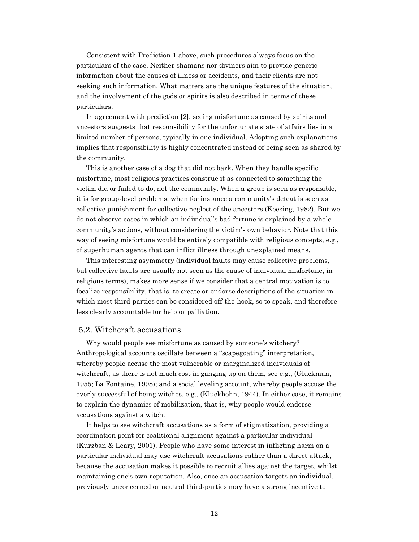Consistent with Prediction 1 above, such procedures always focus on the particulars of the case. Neither shamans nor diviners aim to provide generic information about the causes of illness or accidents, and their clients are not seeking such information. What matters are the unique features of the situation, and the involvement of the gods or spirits is also described in terms of these particulars.

In agreement with prediction [2], seeing misfortune as caused by spirits and ancestors suggests that responsibility for the unfortunate state of affairs lies in a limited number of persons, typically in one individual. Adopting such explanations implies that responsibility is highly concentrated instead of being seen as shared by the community.

This is another case of a dog that did not bark. When they handle specific misfortune, most religious practices construe it as connected to something the victim did or failed to do, not the community. When a group is seen as responsible, it is for group-level problems, when for instance a community's defeat is seen as collective punishment for collective neglect of the ancestors (Keesing, 1982). But we do not observe cases in which an individual's bad fortune is explained by a whole community's actions, without considering the victim's own behavior. Note that this way of seeing misfortune would be entirely compatible with religious concepts, e.g., of superhuman agents that can inflict illness through unexplained means.

This interesting asymmetry (individual faults may cause collective problems, but collective faults are usually not seen as the cause of individual misfortune, in religious terms), makes more sense if we consider that a central motivation is to focalize responsibility, that is, to create or endorse descriptions of the situation in which most third-parties can be considered off-the-hook, so to speak, and therefore less clearly accountable for help or palliation.

### 5.2. Witchcraft accusations

Why would people see misfortune as caused by someone's witchery? Anthropological accounts oscillate between a "scapegoating" interpretation, whereby people accuse the most vulnerable or marginalized individuals of witchcraft, as there is not much cost in ganging up on them, see e.g., (Gluckman, 1955; La Fontaine, 1998); and a social leveling account, whereby people accuse the overly successful of being witches, e.g., (Kluckhohn, 1944). In either case, it remains to explain the dynamics of mobilization, that is, why people would endorse accusations against a witch.

It helps to see witchcraft accusations as a form of stigmatization, providing a coordination point for coalitional alignment against a particular individual (Kurzban & Leary, 2001). People who have some interest in inflicting harm on a particular individual may use witchcraft accusations rather than a direct attack, because the accusation makes it possible to recruit allies against the target, whilst maintaining one's own reputation. Also, once an accusation targets an individual, previously unconcerned or neutral third-parties may have a strong incentive to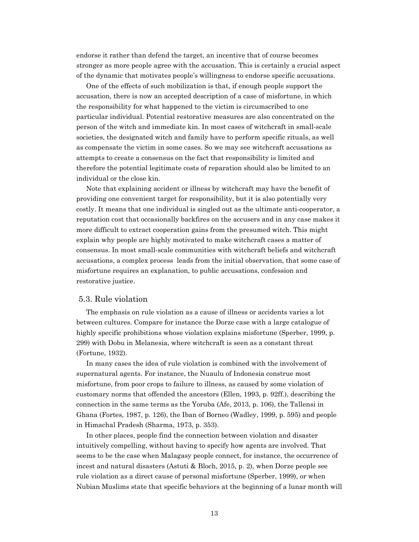endorse it rather than defend the target, an incentive that of course becomes stronger as more people agree with the accusation. This is certainly a crucial aspect of the dynamic that motivates people's willingness to endorse specific accusations.

One of the effects of such mobilization is that, if enough people support the accusation, there is now an accepted description of a case of misfortune, in which the responsibility for what happened to the victim is circumscribed to one particular individual. Potential restorative measures are also concentrated on the person of the witch and immediate kin. In most cases of witchcraft in small-scale societies, the designated witch and family have to perform specific rituals, as well as compensate the victim in some cases. So we may see witchcraft accusations as attempts to create a consensus on the fact that responsibility is limited and therefore the potential legitimate costs of reparation should also be limited to an individual or the close kin.

Note that explaining accident or illness by witchcraft may have the benefit of providing one convenient target for responsibility, but it is also potentially very costly. It means that one individual is singled out as the ultimate anti-cooperator, a reputation cost that occasionally backfires on the accusers and in any case makes it more difficult to extract cooperation gains from the presumed witch. This might explain why people are highly motivated to make witchcraft cases a matter of consensus. In most small-scale communities with witchcraft beliefs and witchcraft accusations, a complex process leads from the initial observation, that some case of misfortune requires an explanation, to public accusations, confession and restorative justice.

## 5.3. Rule violation

The emphasis on rule violation as a cause of illness or accidents varies a lot between cultures. Compare for instance the Dorze case with a large catalogue of highly specific prohibitions whose violation explains misfortune (Sperber, 1999, p. 299) with Dobu in Melanesia, where witchcraft is seen as a constant threat (Fortune, 1932).

In many cases the idea of rule violation is combined with the involvement of supernatural agents. For instance, the Nuaulu of Indonesia construe most misfortune, from poor crops to failure to illness, as caused by some violation of customary norms that offended the ancestors (Ellen, 1993, p. 92ff.), describing the connection in the same terms as the Yoruba (Afe, 2013, p. 106), the Tallensi in Ghana (Fortes, 1987, p. 126), the Iban of Borneo (Wadley, 1999, p. 595) and people in Himachal Pradesh (Sharma, 1973, p. 353).

In other places, people find the connection between violation and disaster intuitively compelling, without having to specify how agents are involved. That seems to be the case when Malagasy people connect, for instance, the occurrence of incest and natural disasters (Astuti & Bloch, 2015, p. 2), when Dorze people see rule violation as a direct cause of personal misfortune (Sperber, 1999), or when Nubian Muslims state that specific behaviors at the beginning of a lunar month will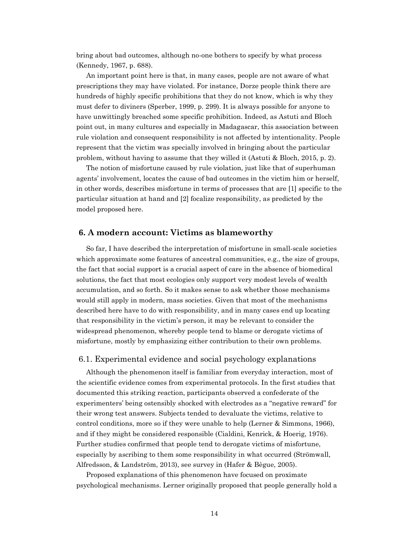bring about bad outcomes, although no-one bothers to specify by what process (Kennedy, 1967, p. 688).

An important point here is that, in many cases, people are not aware of what prescriptions they may have violated. For instance, Dorze people think there are hundreds of highly specific prohibitions that they do not know, which is why they must defer to diviners (Sperber, 1999, p. 299). It is always possible for anyone to have unwittingly breached some specific prohibition. Indeed, as Astuti and Bloch point out, in many cultures and especially in Madagascar, this association between rule violation and consequent responsibility is not affected by intentionality. People represent that the victim was specially involved in bringing about the particular problem, without having to assume that they willed it (Astuti & Bloch, 2015, p. 2).

The notion of misfortune caused by rule violation, just like that of superhuman agents' involvement, locates the cause of bad outcomes in the victim him or herself, in other words, describes misfortune in terms of processes that are [1] specific to the particular situation at hand and [2] focalize responsibility, as predicted by the model proposed here.

# 6. A modern account: Victims as blameworthy

So far, I have described the interpretation of misfortune in small-scale societies which approximate some features of ancestral communities, e.g., the size of groups, the fact that social support is a crucial aspect of care in the absence of biomedical solutions, the fact that most ecologies only support very modest levels of wealth accumulation, and so forth. So it makes sense to ask whether those mechanisms would still apply in modern, mass societies. Given that most of the mechanisms described here have to do with responsibility, and in many cases end up locating that responsibility in the victim's person, it may be relevant to consider the widespread phenomenon, whereby people tend to blame or derogate victims of misfortune, mostly by emphasizing either contribution to their own problems.

# 6.1. Experimental evidence and social psychology explanations

Although the phenomenon itself is familiar from everyday interaction, most of the scientific evidence comes from experimental protocols. In the first studies that documented this striking reaction, participants observed a confederate of the experimenters' being ostensibly shocked with electrodes as a "negative reward" for their wrong test answers. Subjects tended to devaluate the victims, relative to control conditions, more so if they were unable to help (Lerner & Simmons, 1966), and if they might be considered responsible (Cialdini, Kenrick, & Hoerig, 1976). Further studies confirmed that people tend to derogate victims of misfortune, especially by ascribing to them some responsibility in what occurred (Strömwall, Alfredsson, & Landström, 2013), see survey in (Hafer & Bègue, 2005).

Proposed explanations of this phenomenon have focused on proximate psychological mechanisms. Lerner originally proposed that people generally hold a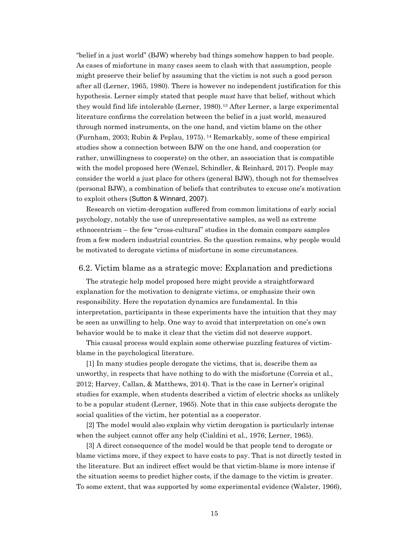"belief in a just world" (BJW) whereby bad things somehow happen to bad people. As cases of misfortune in many cases seem to clash with that assumption, people might preserve their belief by assuming that the victim is not such a good person after all (Lerner, 1965, 1980). There is however no independent justification for this hypothesis. Lerner simply stated that people *must* have that belief, without which they would find life intolerable (Lerner, 1980).13 After Lerner, a large experimental literature confirms the correlation between the belief in a just world, measured through normed instruments, on the one hand, and victim blame on the other (Furnham, 2003; Rubin & Peplau, 1975). 14 Remarkably, some of these empirical studies show a connection between BJW on the one hand, and cooperation (or rather, unwillingness to cooperate) on the other, an association that is compatible with the model proposed here (Wenzel, Schindler, & Reinhard, 2017). People may consider the world a just place for others (general BJW), though not for themselves (personal BJW), a combination of beliefs that contributes to excuse one's motivation to exploit others (Sutton & Winnard, 2007).

Research on victim-derogation suffered from common limitations of early social psychology, notably the use of unrepresentative samples, as well as extreme ethnocentrism – the few "cross-cultural" studies in the domain compare samples from a few modern industrial countries. So the question remains, why people would be motivated to derogate victims of misfortune in some circumstances.

# 6.2. Victim blame as a strategic move: Explanation and predictions

The strategic help model proposed here might provide a straightforward explanation for the motivation to denigrate victims, or emphasize their own responsibility. Here the reputation dynamics are fundamental. In this interpretation, participants in these experiments have the intuition that they may be seen as unwilling to help. One way to avoid that interpretation on one's own behavior would be to make it clear that the victim did not deserve support.

This causal process would explain some otherwise puzzling features of victimblame in the psychological literature.

[1] In many studies people derogate the victims, that is, describe them as unworthy, in respects that have nothing to do with the misfortune (Correia et al., 2012; Harvey, Callan, & Matthews, 2014). That is the case in Lerner's original studies for example, when students described a victim of electric shocks as unlikely to be a popular student (Lerner, 1965). Note that in this case subjects derogate the social qualities of the victim, her potential as a cooperator.

[2] The model would also explain why victim derogation is particularly intense when the subject cannot offer any help (Cialdini et al., 1976; Lerner, 1965).

[3] A direct consequence of the model would be that people tend to derogate or blame victims more, if they expect to have costs to pay. That is not directly tested in the literature. But an indirect effect would be that victim-blame is more intense if the situation seems to predict higher costs, if the damage to the victim is greater. To some extent, that was supported by some experimental evidence (Walster, 1966),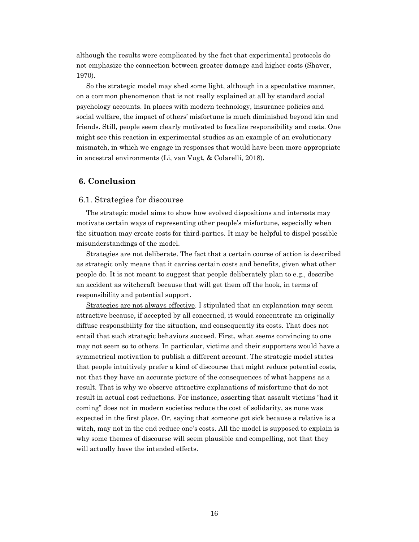although the results were complicated by the fact that experimental protocols do not emphasize the connection between greater damage and higher costs (Shaver, 1970).

So the strategic model may shed some light, although in a speculative manner, on a common phenomenon that is not really explained at all by standard social psychology accounts. In places with modern technology, insurance policies and social welfare, the impact of others' misfortune is much diminished beyond kin and friends. Still, people seem clearly motivated to focalize responsibility and costs. One might see this reaction in experimental studies as an example of an evolutionary mismatch, in which we engage in responses that would have been more appropriate in ancestral environments (Li, van Vugt, & Colarelli, 2018).

# 6. Conclusion

# 6.1. Strategies for discourse

The strategic model aims to show how evolved dispositions and interests may motivate certain ways of representing other people's misfortune, especially when the situation may create costs for third-parties. It may be helpful to dispel possible misunderstandings of the model.

Strategies are not deliberate. The fact that a certain course of action is described as strategic only means that it carries certain costs and benefits, given what other people do. It is not meant to suggest that people deliberately plan to e.g., describe an accident as witchcraft because that will get them off the hook, in terms of responsibility and potential support.

Strategies are not always effective. I stipulated that an explanation may seem attractive because, if accepted by all concerned, it would concentrate an originally diffuse responsibility for the situation, and consequently its costs. That does not entail that such strategic behaviors succeed. First, what seems convincing to one may not seem so to others. In particular, victims and their supporters would have a symmetrical motivation to publish a different account. The strategic model states that people intuitively prefer a kind of discourse that might reduce potential costs, not that they have an accurate picture of the consequences of what happens as a result. That is why we observe attractive explanations of misfortune that do not result in actual cost reductions. For instance, asserting that assault victims "had it coming" does not in modern societies reduce the cost of solidarity, as none was expected in the first place. Or, saying that someone got sick because a relative is a witch, may not in the end reduce one's costs. All the model is supposed to explain is why some themes of discourse will seem plausible and compelling, not that they will actually have the intended effects.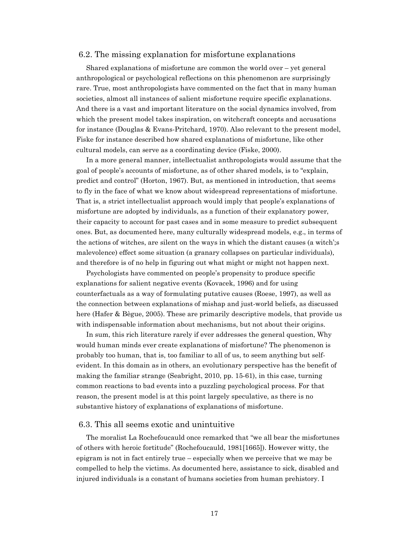## 6.2. The missing explanation for misfortune explanations

Shared explanations of misfortune are common the world over – yet general anthropological or psychological reflections on this phenomenon are surprisingly rare. True, most anthropologists have commented on the fact that in many human societies, almost all instances of salient misfortune require specific explanations. And there is a vast and important literature on the social dynamics involved, from which the present model takes inspiration, on witchcraft concepts and accusations for instance (Douglas & Evans-Pritchard, 1970). Also relevant to the present model, Fiske for instance described how shared explanations of misfortune, like other cultural models, can serve as a coordinating device (Fiske, 2000).

In a more general manner, intellectualist anthropologists would assume that the goal of people's accounts of misfortune, as of other shared models, is to "explain, predict and control" (Horton, 1967). But, as mentioned in introduction, that seems to fly in the face of what we know about widespread representations of misfortune. That is, a strict intellectualist approach would imply that people's explanations of misfortune are adopted by individuals, as a function of their explanatory power, their capacity to account for past cases and in some measure to predict subsequent ones. But, as documented here, many culturally widespread models, e.g., in terms of the actions of witches, are silent on the ways in which the distant causes (a witch';s malevolence) effect some situation (a granary collapses on particular individuals), and therefore is of no help in figuring out what might or might not happen next.

Psychologists have commented on people's propensity to produce specific explanations for salient negative events (Kovacek, 1996) and for using counterfactuals as a way of formulating putative causes (Roese, 1997), as well as the connection between explanations of mishap and just-world beliefs, as discussed here (Hafer & Bègue, 2005). These are primarily descriptive models, that provide us with indispensable information about mechanisms, but not about their origins.

In sum, this rich literature rarely if ever addresses the general question, Why would human minds ever create explanations of misfortune? The phenomenon is probably too human, that is, too familiar to all of us, to seem anything but selfevident. In this domain as in others, an evolutionary perspective has the benefit of making the familiar strange (Seabright, 2010, pp. 15-61), in this case, turning common reactions to bad events into a puzzling psychological process. For that reason, the present model is at this point largely speculative, as there is no substantive history of explanations of explanations of misfortune.

### 6.3. This all seems exotic and unintuitive

The moralist La Rochefoucauld once remarked that "we all bear the misfortunes of others with heroic fortitude" (Rochefoucauld, 1981[1665]). However witty, the epigram is not in fact entirely true – especially when we perceive that we may be compelled to help the victims. As documented here, assistance to sick, disabled and injured individuals is a constant of humans societies from human prehistory. I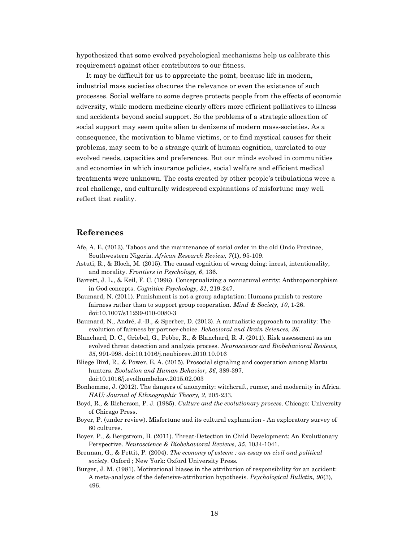hypothesized that some evolved psychological mechanisms help us calibrate this requirement against other contributors to our fitness.

It may be difficult for us to appreciate the point, because life in modern, industrial mass societies obscures the relevance or even the existence of such processes. Social welfare to some degree protects people from the effects of economic adversity, while modern medicine clearly offers more efficient palliatives to illness and accidents beyond social support. So the problems of a strategic allocation of social support may seem quite alien to denizens of modern mass-societies. As a consequence, the motivation to blame victims, or to find mystical causes for their problems, may seem to be a strange quirk of human cognition, unrelated to our evolved needs, capacities and preferences. But our minds evolved in communities and economies in which insurance policies, social welfare and efficient medical treatments were unknown. The costs created by other people's tribulations were a real challenge, and culturally widespread explanations of misfortune may well reflect that reality.

# References

- Afe, A. E. (2013). Taboos and the maintenance of social order in the old Ondo Province, Southwestern Nigeria. African Research Review, 7(1), 95-109.
- Astuti, R., & Bloch, M. (2015). The causal cognition of wrong doing: incest, intentionality, and morality. Frontiers in Psychology, 6, 136.
- Barrett, J. L., & Keil, F. C. (1996). Conceptualizing a nonnatural entity: Anthropomorphism in God concepts. Cognitive Psychology, 31, 219-247.
- Baumard, N. (2011). Punishment is not a group adaptation: Humans punish to restore fairness rather than to support group cooperation. Mind & Society, 10, 1-26. doi:10.1007/s11299-010-0080-3
- Baumard, N., André, J.-B., & Sperber, D. (2013). A mutualistic approach to morality: The evolution of fairness by partner-choice. Behavioral and Brain Sciences, 36.
- Blanchard, D. C., Griebel, G., Pobbe, R., & Blanchard, R. J. (2011). Risk assessment as an evolved threat detection and analysis process. Neuroscience and Biobehavioral Reviews, 35, 991-998. doi:10.1016/j.neubiorev.2010.10.016
- Bliege Bird, R., & Power, E. A. (2015). Prosocial signaling and cooperation among Martu hunters. Evolution and Human Behavior, 36, 389-397. doi:10.1016/j.evolhumbehav.2015.02.003
- Bonhomme, J. (2012). The dangers of anonymity: witchcraft, rumor, and modernity in Africa. HAU: Journal of Ethnographic Theory, 2, 205-233.
- Boyd, R., & Richerson, P. J. (1985). Culture and the evolutionary process. Chicago: University of Chicago Press.
- Boyer, P. (under review). Misfortune and its cultural explanation An exploratory survey of 60 cultures.
- Boyer, P., & Bergstrom, B. (2011). Threat-Detection in Child Development: An Evolutionary Perspective. Neuroscience & Biobehavioral Reviews, 35, 1034-1041.
- Brennan, G., & Pettit, P. (2004). The economy of esteem : an essay on civil and political society. Oxford ; New York: Oxford University Press.
- Burger, J. M. (1981). Motivational biases in the attribution of responsibility for an accident: A meta-analysis of the defensive-attribution hypothesis. Psychological Bulletin, 90(3), 496.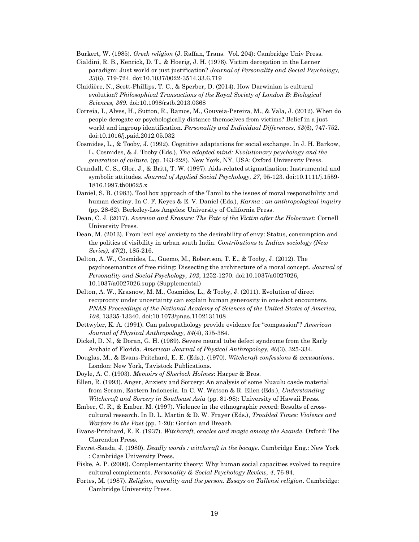Burkert, W. (1985). Greek religion (J. Raffan, Trans. Vol. 204): Cambridge Univ Press.

- Cialdini, R. B., Kenrick, D. T., & Hoerig, J. H. (1976). Victim derogation in the Lerner paradigm: Just world or just justification? Journal of Personality and Social Psychology, 33(6), 719-724. doi:10.1037/0022-3514.33.6.719
- Claidière, N., Scott-Phillips, T. C., & Sperber, D. (2014). How Darwinian is cultural evolution? Philosophical Transactions of the Royal Society of London B: Biological Sciences, 369. doi:10.1098/rstb.2013.0368
- Correia, I., Alves, H., Sutton, R., Ramos, M., Gouveia-Pereira, M., & Vala, J. (2012). When do people derogate or psychologically distance themselves from victims? Belief in a just world and ingroup identification. Personality and Individual Differences, 53(6), 747-752. doi:10.1016/j.paid.2012.05.032
- Cosmides, L., & Tooby, J. (1992). Cognitive adaptations for social exchange. In J. H. Barkow, L. Cosmides, & J. Tooby (Eds.), The adapted mind: Evolutionary psychology and the generation of culture. (pp. 163-228). New York, NY, USA: Oxford University Press.
- Crandall, C. S., Glor, J., & Britt, T. W. (1997). Aids-related stigmatization: Instrumental and symbolic attitudes. Journal of Applied Social Psychology, 27, 95-123. doi:10.1111/j.1559-1816.1997.tb00625.x
- Daniel, S. B. (1983). Tool box approach of the Tamil to the issues of moral responsibility and human destiny. In C. F. Keyes & E. V. Daniel (Eds.), *Karma : an anthropological inquiry* (pp. 28-62). Berkeley-Los Angeles: University of California Press.
- Dean, C. J. (2017). Aversion and Erasure: The Fate of the Victim after the Holocaust: Cornell University Press.
- Dean, M. (2013). From 'evil eye' anxiety to the desirability of envy: Status, consumption and the politics of visibility in urban south India. Contributions to Indian sociology (New Series), 47(2), 185-216.
- Delton, A. W., Cosmides, L., Guemo, M., Robertson, T. E., & Tooby, J. (2012). The psychosemantics of free riding: Dissecting the architecture of a moral concept. Journal of Personality and Social Psychology, 102, 1252-1270. doi:10.1037/a0027026, 10.1037/a0027026.supp (Supplemental)
- Delton, A. W., Krasnow, M. M., Cosmides, L., & Tooby, J. (2011). Evolution of direct reciprocity under uncertainty can explain human generosity in one-shot encounters. PNAS Proceedings of the National Academy of Sciences of the United States of America, 108, 13335-13340. doi:10.1073/pnas.1102131108
- Dettwyler, K. A. (1991). Can paleopathology provide evidence for "compassion"? American Journal of Physical Anthropology, 84(4), 375-384.
- Dickel, D. N., & Doran, G. H. (1989). Severe neural tube defect syndrome from the Early Archaic of Florida. American Journal of Physical Anthropology, 80(3), 325-334.
- Douglas, M., & Evans-Pritchard, E. E. (Eds.). (1970). Witchcraft confessions & accusations. London: New York, Tavistock Publications.
- Doyle, A. C. (1903). Memoirs of Sherlock Holmes: Harper & Bros.
- Ellen, R. (1993). Anger, Anxiety and Sorcery: An analysis of some Nuaulu casde material from Seram, Eastern Indonesia. In C. W. Watson & R. Ellen (Eds.), Understanding Witchcraft and Sorcery in Southeast Asia (pp. 81-98): University of Hawaii Press.
- Ember, C. R., & Ember, M. (1997). Violence in the ethnographic record: Results of crosscultural research. In D. L. Martin & D. W. Frayer (Eds.), Troubled Times: Violence and Warfare in the Past (pp. 1-20): Gordon and Breach.
- Evans-Pritchard, E. E. (1937). Witchcraft, oracles and magic among the Azande. Oxford: The Clarendon Press.
- Favret-Saada, J. (1980). *Deadly words : witchcraft in the bocage*. Cambridge Eng.: New York : Cambridge University Press.
- Fiske, A. P. (2000). Complementarity theory: Why human social capacities evolved to require cultural complements. Personality & Social Psychology Review, 4, 76-94.
- Fortes, M. (1987). Religion, morality and the person. Essays on Tallensi religion. Cambridge: Cambridge University Press.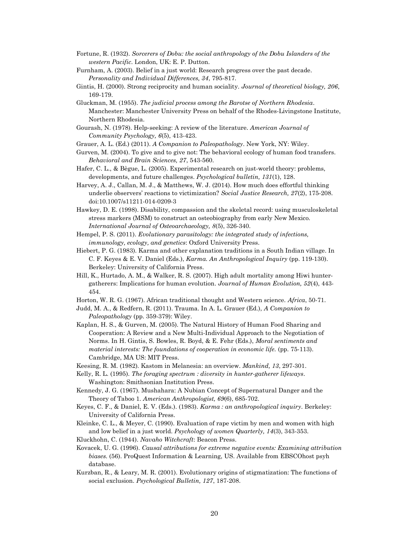- Fortune, R. (1932). Sorcerers of Dobu: the social anthropology of the Dobu Islanders of the western Pacific. London, UK: E. P. Dutton.
- Furnham, A. (2003). Belief in a just world: Research progress over the past decade. Personality and Individual Differences, 34, 795-817.
- Gintis, H. (2000). Strong reciprocity and human sociality. Journal of theoretical biology, 206, 169-179.
- Gluckman, M. (1955). The judicial process among the Barotse of Northern Rhodesia. Manchester: Manchester University Press on behalf of the Rhodes-Livingstone Institute, Northern Rhodesia.
- Gourash, N. (1978). Help-seeking: A review of the literature. American Journal of Community Psychology, 6(5), 413-423.
- Grauer, A. L. (Ed.) (2011). A Companion to Paleopathology. New York, NY: Wiley.
- Gurven, M. (2004). To give and to give not: The behavioral ecology of human food transfers. Behavioral and Brain Sciences, 27, 543-560.
- Hafer, C. L., & Bègue, L. (2005). Experimental research on just-world theory: problems, developments, and future challenges. Psychological bulletin, 131(1), 128.
- Harvey, A. J., Callan, M. J., & Matthews, W. J. (2014). How much does effortful thinking underlie observers' reactions to victimization? Social Justice Research, 27(2), 175-208. doi:10.1007/s11211-014-0209-3
- Hawkey, D. E. (1998). Disability, compassion and the skeletal record: using musculoskeletal stress markers (MSM) to construct an osteobiography from early New Mexico. International Journal of Osteoarchaeology, 8(5), 326-340.
- Hempel, P. S. (2011). Evolutionary parasitology: the integrated study of infections, immunology, ecology, and genetics: Oxford University Press.
- Hiebert, P. G. (1983). Karma and other explanation traditions in a South Indian village. In C. F. Keyes & E. V. Daniel (Eds.), Karma. An Anthropological Inquiry (pp. 119-130). Berkeley: University of California Press.
- Hill, K., Hurtado, A. M., & Walker, R. S. (2007). High adult mortality among Hiwi huntergatherers: Implications for human evolution. Journal of Human Evolution, 52(4), 443- 454.
- Horton, W. R. G. (1967). African traditional thought and Western science. Africa, 50-71.
- Judd, M. A., & Redfern, R. (2011). Trauma. In A. L. Grauer (Ed.), A Companion to Paleopathology (pp. 359-379): Wiley.
- Kaplan, H. S., & Gurven, M. (2005). The Natural History of Human Food Sharing and Cooperation: A Review and a New Multi-Individual Approach to the Negotiation of Norms. In H. Gintis, S. Bowles, R. Boyd, & E. Fehr (Eds.), Moral sentiments and material interests: The foundations of cooperation in economic life. (pp. 75-113). Cambridge, MA US: MIT Press.
- Keesing, R. M. (1982). Kastom in Melanesia: an overview. Mankind, 13, 297-301.
- Kelly, R. L. (1995). The foraging spectrum : diversity in hunter-gatherer lifeways. Washington: Smithsonian Institution Press.
- Kennedy, J. G. (1967). Mushahara: A Nubian Concept of Supernatural Danger and the Theory of Taboo 1. American Anthropologist, 69(6), 685-702.
- Keyes, C. F., & Daniel, E. V. (Eds.). (1983). Karma : an anthropological inquiry. Berkeley: University of California Press.
- Kleinke, C. L., & Meyer, C. (1990). Evaluation of rape victim by men and women with high and low belief in a just world. Psychology of women Quarterly, 14(3), 343-353.
- Kluckhohn, C. (1944). Navaho Witchcraft: Beacon Press.
- Kovacek, U. G. (1996). Causal attributions for extreme negative events: Examining attribution biases. (56). ProQuest Information & Learning, US. Available from EBSCOhost psyh database.
- Kurzban, R., & Leary, M. R. (2001). Evolutionary origins of stigmatization: The functions of social exclusion. Psychological Bulletin, 127, 187-208.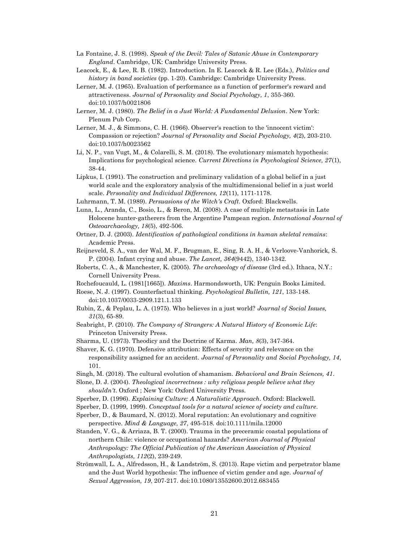- La Fontaine, J. S. (1998). Speak of the Devil: Tales of Satanic Abuse in Contemporary England. Cambridge, UK: Cambridge University Press.
- Leacock, E., & Lee, R. B. (1982). Introduction. In E. Leacock & R. Lee (Eds.), Politics and history in band societies (pp. 1-20). Cambridge: Cambridge University Press.
- Lerner, M. J. (1965). Evaluation of performance as a function of performer's reward and attractiveness. Journal of Personality and Social Psychology, 1, 355-360. doi:10.1037/h0021806
- Lerner, M. J. (1980). The Belief in a Just World: A Fundamental Delusion. New York: Plenum Pub Corp.
- Lerner, M. J., & Simmons, C. H. (1966). Observer's reaction to the 'innocent victim': Compassion or rejection? Journal of Personality and Social Psychology, 4(2), 203-210. doi:10.1037/h0023562
- Li, N. P., van Vugt, M., & Colarelli, S. M. (2018). The evolutionary mismatch hypothesis: Implications for psychological science. Current Directions in Psychological Science, 27(1), 38-44.
- Lipkus, I. (1991). The construction and preliminary validation of a global belief in a just world scale and the exploratory analysis of the multidimensional belief in a just world scale. Personality and Individual Differences, 12(11), 1171-1178.
- Luhrmann, T. M. (1989). Persuasions of the Witch's Craft. Oxford: Blackwells.
- Luna, L., Aranda, C., Bosio, L., & Beron, M. (2008). A case of multiple metastasis in Late Holocene hunter‐gatherers from the Argentine Pampean region. International Journal of Osteoarchaeology, 18(5), 492-506.
- Ortner, D. J. (2003). Identification of pathological conditions in human skeletal remains: Academic Press.
- Reijneveld, S. A., van der Wal, M. F., Brugman, E., Sing, R. A. H., & Verloove-Vanhorick, S. P. (2004). Infant crying and abuse. The Lancet, 364(9442), 1340-1342.
- Roberts, C. A., & Manchester, K. (2005). The archaeology of disease (3rd ed.). Ithaca, N.Y.: Cornell University Press.
- Rochefoucauld, L. (1981[1665]). Maxims. Harmondsworth, UK: Penguin Books Limited.
- Roese, N. J. (1997). Counterfactual thinking. Psychological Bulletin, 121, 133-148. doi:10.1037/0033-2909.121.1.133
- Rubin, Z., & Peplau, L. A. (1975). Who believes in a just world? Journal of Social Issues, 31(3), 65-89.
- Seabright, P. (2010). The Company of Strangers: A Natural History of Economic Life: Princeton University Press.
- Sharma, U. (1973). Theodicy and the Doctrine of Karma. Man, 8(3), 347-364.
- Shaver, K. G. (1970). Defensive attribution: Effects of severity and relevance on the responsibility assigned for an accident. Journal of Personality and Social Psychology, 14, 101.
- Singh, M. (2018). The cultural evolution of shamanism. Behavioral and Brain Sciences, 41.
- Slone, D. J. (2004). Theological incorrectness : why religious people believe what they shouldn't. Oxford ; New York: Oxford University Press.
- Sperber, D. (1996). Explaining Culture: A Naturalistic Approach. Oxford: Blackwell.
- Sperber, D. (1999, 1999). Conceptual tools for a natural science of society and culture.
- Sperber, D., & Baumard, N. (2012). Moral reputation: An evolutionary and cognitive perspective. Mind & Language, 27, 495-518. doi:10.1111/mila.12000
- Standen, V. G., & Arriaza, B. T. (2000). Trauma in the preceramic coastal populations of northern Chile: violence or occupational hazards? American Journal of Physical Anthropology: The Official Publication of the American Association of Physical Anthropologists, 112(2), 239-249.
- Strömwall, L. A., Alfredsson, H., & Landström, S. (2013). Rape victim and perpetrator blame and the Just World hypothesis: The influence of victim gender and age. Journal of Sexual Aggression, 19, 207-217. doi:10.1080/13552600.2012.683455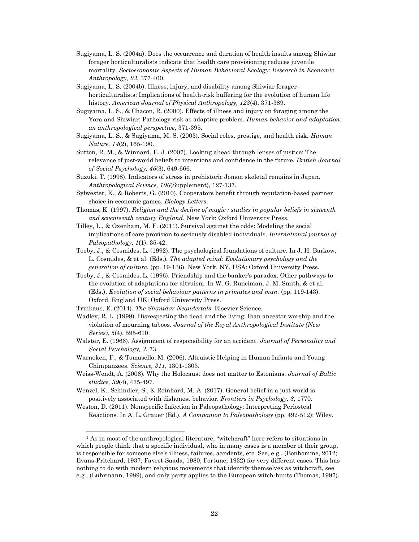- Sugiyama, L. S. (2004a). Does the occurrence and duration of health insults among Shiwiar forager horticulturalists indicate that health care provisioning reduces juvenile mortality. Socioeconomic Aspects of Human Behavioral Ecology: Research in Economic Anthropology, 23, 377-400.
- Sugiyama, L. S. (2004b). Illness, injury, and disability among Shiwiar forager‐ horticulturalists: Implications of health‐risk buffering for the evolution of human life history. American Journal of Physical Anthropology, 123(4), 371-389.
- Sugiyama, L. S., & Chacon, R. (2000). Effects of illness and injury on foraging among the Yora and Shiwiar: Pathology risk as adaptive problem. Human behavior and adaptation: an anthropological perspective, 371-395.
- Sugiyama, L. S., & Sugiyama, M. S. (2003). Social roles, prestige, and health risk. Human Nature, 14(2), 165-190.
- Sutton, R. M., & Winnard, E. J. (2007). Looking ahead through lenses of justice: The relevance of just-world beliefs to intentions and confidence in the future. British Journal of Social Psychology, 46(3), 649-666.
- Suzuki, T. (1998). Indicators of stress in prehistoric Jomon skeletal remains in Japan. Anthropological Science, 106(Supplement), 127-137.
- Sylwester, K., & Roberts, G. (2010). Cooperators benefit through reputation-based partner choice in economic games. Biology Letters.
- Thomas, K. (1997). Religion and the decline of magic : studies in popular beliefs in sixteenth and seventeenth century England. New York: Oxford University Press.
- Tilley, L., & Oxenham, M. F. (2011). Survival against the odds: Modeling the social implications of care provision to seriously disabled individuals. International journal of Paleopathology, 1(1), 35-42.
- Tooby, J., & Cosmides, L. (1992). The psychological foundations of culture. In J. H. Barkow, L. Cosmides, & et al. (Eds.), The adapted mind: Evolutionary psychology and the generation of culture. (pp. 19-136). New York, NY, USA: Oxford University Press.
- Tooby, J., & Cosmides, L. (1996). Friendship and the banker's paradox: Other pathways to the evolution of adaptations for altruism. In W. G. Runciman, J. M. Smith, & et al. (Eds.), Evolution of social behaviour patterns in primates and man. (pp. 119-143). Oxford, England UK: Oxford University Press.
- Trinkaus, E. (2014). The Shanidar Neandertals: Elsevier Science.

l

- Wadley, R. L. (1999). Disrespecting the dead and the living: Iban ancestor worship and the violation of mourning taboos. Journal of the Royal Anthropological Institute (New Series), 5(4), 595-610.
- Walster, E. (1966). Assignment of responsibility for an accident. Journal of Personality and Social Psychology, 3, 73.
- Warneken, F., & Tomasello, M. (2006). Altruistic Helping in Human Infants and Young Chimpanzees. Science, 311, 1301-1303.
- Weiss-Wendt, A. (2008). Why the Holocaust does not matter to Estonians. Journal of Baltic studies, 39(4), 475-497.
- Wenzel, K., Schindler, S., & Reinhard, M.-A. (2017). General belief in a just world is positively associated with dishonest behavior. Frontiers in Psychology, 8, 1770.

Weston, D. (2011). Nonspecific Infection in Paleopathology: Interpreting Periosteal Reactions. In A. L. Grauer (Ed.), A Companion to Paleopathology (pp. 492-512): Wiley.

<sup>&</sup>lt;sup>1</sup> As in most of the anthropological literature, "witchcraft" here refers to situations in which people think that a specific individual, who in many cases is a member of their group, is responsible for someone else's illness, failures, accidents, etc. See, e.g., (Bonhomme, 2012; Evans-Pritchard, 1937; Favret-Saada, 1980; Fortune, 1932) for very different cases. This has nothing to do with modern religious movements that identify themselves as witchcraft, see e.g., (Luhrmann, 1989), and only party applies to the European witch-hunts (Thomas, 1997).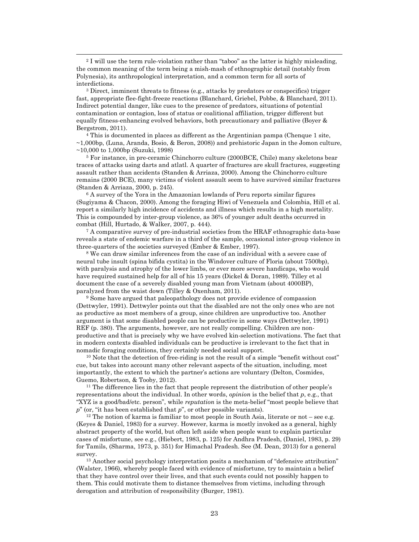<sup>2</sup> I will use the term rule-violation rather than "taboo" as the latter is highly misleading, the common meaning of the term being a mish-mash of ethnographic detail (notably from Polynesia), its anthropological interpretation, and a common term for all sorts of interdictions.

-

<sup>3</sup> Direct, imminent threats to fitness (e.g., attacks by predators or conspecifics) trigger fast, appropriate flee-fight-freeze reactions (Blanchard, Griebel, Pobbe, & Blanchard, 2011). Indirect potential danger, like cues to the presence of predators, situations of potential contamination or contagion, loss of status or coalitional affiliation, trigger different but equally fitness-enhancing evolved behaviors, both precautionary and palliative (Boyer  $\&$ Bergstrom, 2011).

4 This is documented in places as different as the Argentinian pampa (Chenque 1 site, ~1,000bp, (Luna, Aranda, Bosio, & Beron, 2008)) and prehistoric Japan in the Jomon culture, ~10,000 to 1,000bp (Suzuki, 1998)

5 For instance, in pre-ceramic Chinchorro culture (2000BCE, Chile) many skeletons bear traces of attacks using darts and atlatl. A quarter of fractures are skull fractures, suggesting assault rather than accidents (Standen & Arriaza, 2000). Among the Chinchorro culture remains (2000 BCE), many victims of violent assault seem to have survived similar fractures (Standen & Arriaza, 2000, p. 245).

6 A survey of the Yora in the Amazonian lowlands of Peru reports similar figures (Sugiyama & Chacon, 2000). Among the foraging Hiwi of Venezuela and Colombia, Hill et al. report a similarly high incidence of accidents and illness which results in a high mortality. This is compounded by inter-group violence, as 36% of younger adult deaths occurred in combat (Hill, Hurtado, & Walker, 2007, p. 444).

<sup>7</sup> A comparative survey of pre-industrial societies from the HRAF ethnographic data-base reveals a state of endemic warfare in a third of the sample, occasional inter-group violence in three-quarters of the societies surveyed (Ember & Ember, 1997).

8 We can draw similar inferences from the case of an individual with a severe case of neural tube insult (spina bifida cystita) in the Windover culture of Floria (about 7500bp), with paralysis and atrophy of the lower limbs, or ever more severe handicaps, who would have required sustained help for all of his 15 years (Dickel & Doran, 1989). Tilley et al document the case of a severely disabled young man from Vietnam (about 4000BP), paralyzed from the waist down (Tilley & Oxenham, 2011).

<sup>9</sup> Some have argued that paleopathology does not provide evidence of compassion (Dettwyler, 1991). Dettwyler points out that the disabled are not the only ones who are not as productive as most members of a group, since children are unproductive too. Another argument is that some disabled people can be productive in some ways (Dettwyler, 1991) REF (p. 380). The arguments, however, are not really compelling. Children are nonproductive and that is precisely why we have evolved kin-selection motivations. The fact that in modern contexts disabled individuals can be productive is irrelevant to the fact that in nomadic foraging conditions, they certainly needed social support.

 $10$  Note that the detection of free-riding is not the result of a simple "benefit without cost" cue, but takes into account many other relevant aspects of the situation, including, most importantly, the extent to which the partner's actions are voluntary (Delton, Cosmides, Guemo, Robertson, & Tooby, 2012).

<sup>11</sup> The difference lies in the fact that people represent the distribution of other people's representations about the individual. In other words, *opinion* is the belief that  $p$ , e.g., that "XYZ is a good/bad/etc. person", while reputation is the meta-belief "most people believe that  $p''$  (or, "it has been established that  $p''$ , or other possible variants).

<sup>12</sup> The notion of karma is familiar to most people in South Asia, literate or not – see e.g. (Keyes & Daniel, 1983) for a survey. However, karma is mostly invoked as a general, highly abstract property of the world, but often left aside when people want to explain particular cases of misfortune, see e.g., (Hiebert, 1983, p. 125) for Andhra Pradesh, (Daniel, 1983, p. 29) for Tamils, (Sharma, 1973, p. 351) for Himachal Pradesh. See (M. Dean, 2013) for a general survey.

<sup>13</sup> Another social psychology interpretation posits a mechanism of "defensive attribution" (Walster, 1966), whereby people faced with evidence of misfortune, try to maintain a belief that they have control over their lives, and that such events could not possibly happen to them. This could motivate them to distance themselves from victims, including through derogation and attribution of responsibility (Burger, 1981).